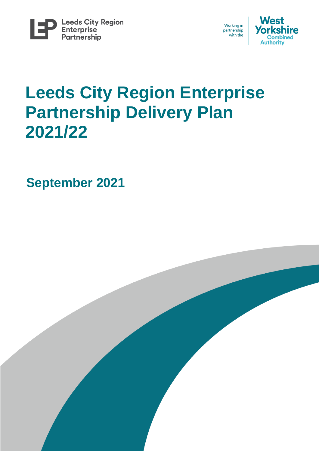





# **Leeds City Region Enterprise Partnership Delivery Plan 2021/22**

**September 2021**

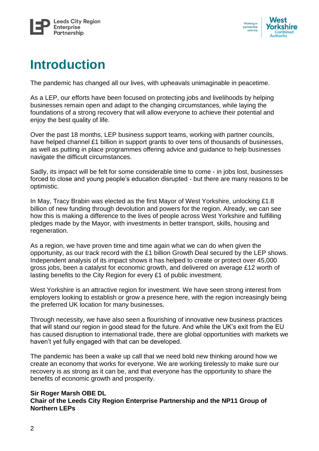



## **Introduction**

The pandemic has changed all our lives, with upheavals unimaginable in peacetime.

As a LEP, our efforts have been focused on protecting jobs and livelihoods by helping businesses remain open and adapt to the changing circumstances, while laying the foundations of a strong recovery that will allow everyone to achieve their potential and enjoy the best quality of life.

Over the past 18 months, LEP business support teams, working with partner councils, have helped channel £1 billion in support grants to over tens of thousands of businesses, as well as putting in place programmes offering advice and guidance to help businesses navigate the difficult circumstances.

Sadly, its impact will be felt for some considerable time to come - in jobs lost, businesses forced to close and young people's education disrupted - but there are many reasons to be optimistic.

In May, Tracy Brabin was elected as the first Mayor of West Yorkshire, unlocking £1.8 billion of new funding through devolution and powers for the region. Already, we can see how this is making a difference to the lives of people across West Yorkshire and fulfilling pledges made by the Mayor, with investments in better transport, skills, housing and regeneration.

As a region, we have proven time and time again what we can do when given the opportunity, as our track record with the £1 billion Growth Deal secured by the LEP shows. Independent analysis of its impact shows it has helped to create or protect over 45,000 gross jobs, been a catalyst for economic growth, and delivered on average £12 worth of lasting benefits to the City Region for every £1 of public investment.

West Yorkshire is an attractive region for investment. We have seen strong interest from employers looking to establish or grow a presence here, with the region increasingly being the preferred UK location for many businesses.

Through necessity, we have also seen a flourishing of innovative new business practices that will stand our region in good stead for the future. And while the UK's exit from the EU has caused disruption to international trade, there are global opportunities with markets we haven't yet fully engaged with that can be developed.

The pandemic has been a wake up call that we need bold new thinking around how we create an economy that works for everyone. We are working tirelessly to make sure our recovery is as strong as it can be, and that everyone has the opportunity to share the benefits of economic growth and prosperity.

#### **Sir Roger Marsh OBE DL Chair of the Leeds City Region Enterprise Partnership and the NP11 Group of Northern LEPs**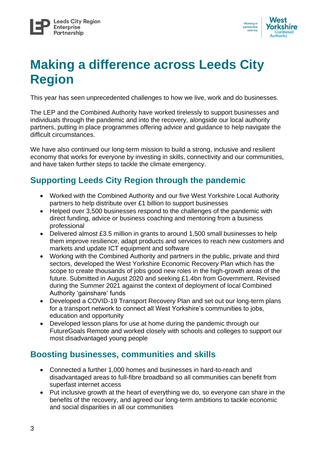

## **Making a difference across Leeds City Region**

This year has seen unprecedented challenges to how we live, work and do businesses.

The LEP and the Combined Authority have worked tirelessly to support businesses and individuals through the pandemic and into the recovery, alongside our local authority partners, putting in place programmes offering advice and guidance to help navigate the difficult circumstances.

We have also continued our long-term mission to build a strong, inclusive and resilient economy that works for everyone by investing in skills, connectivity and our communities, and have taken further steps to tackle the climate emergency.

## **Supporting Leeds City Region through the pandemic**

- Worked with the Combined Authority and our five West Yorkshire Local Authority partners to help distribute over £1 billion to support businesses
- Helped over 3,500 businesses respond to the challenges of the pandemic with direct funding, advice or business coaching and mentoring from a business professional
- Delivered almost £3.5 million in grants to around 1,500 small businesses to help them improve resilience, adapt products and services to reach new customers and markets and update ICT equipment and software
- Working with the Combined Authority and partners in the public, private and third sectors, developed the West Yorkshire Economic Recovery Plan which has the scope to create thousands of jobs good new roles in the high-growth areas of the future. Submitted in August 2020 and seeking £1.4bn from Government. Revised during the Summer 2021 against the context of deployment of local Combined Authority 'gainshare' funds
- Developed a COVID-19 Transport Recovery Plan and set out our long-term plans for a transport network to connect all West Yorkshire's communities to jobs, education and opportunity
- Developed lesson plans for use at home during the pandemic through our FutureGoals Remote and worked closely with schools and colleges to support our most disadvantaged young people

### **Boosting businesses, communities and skills**

- Connected a further 1,000 homes and businesses in hard-to-reach and disadvantaged areas to full-fibre broadband so all communities can benefit from superfast internet access
- Put inclusive growth at the heart of everything we do, so everyone can share in the benefits of the recovery, and agreed our long-term ambitions to tackle economic and social disparities in all our communities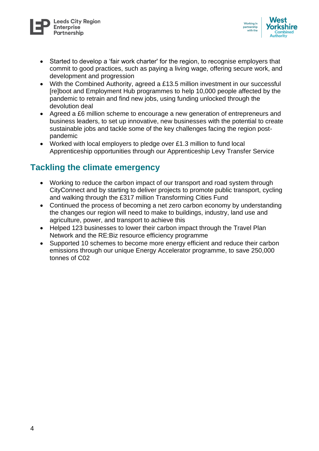



- Started to develop a 'fair work charter' for the region, to recognise employers that commit to good practices, such as paying a living wage, offering secure work, and development and progression
- With the Combined Authority, agreed a £13.5 million investment in our successful [re]boot and Employment Hub programmes to help 10,000 people affected by the pandemic to retrain and find new jobs, using funding unlocked through the devolution deal
- Agreed a £6 million scheme to encourage a new generation of entrepreneurs and business leaders, to set up innovative, new businesses with the potential to create sustainable jobs and tackle some of the key challenges facing the region postpandemic
- Worked with local employers to pledge over £1.3 million to fund local Apprenticeship opportunities through our Apprenticeship Levy Transfer Service

### **Tackling the climate emergency**

- Working to reduce the carbon impact of our transport and road system through CityConnect and by starting to deliver projects to promote public transport, cycling and walking through the £317 million Transforming Cities Fund
- Continued the process of becoming a net zero carbon economy by understanding the changes our region will need to make to buildings, industry, land use and agriculture, power, and transport to achieve this
- Helped 123 businesses to lower their carbon impact through the Travel Plan Network and the RE:Biz resource efficiency programme
- Supported 10 schemes to become more energy efficient and reduce their carbon emissions through our unique Energy Accelerator programme, to save 250,000 tonnes of C02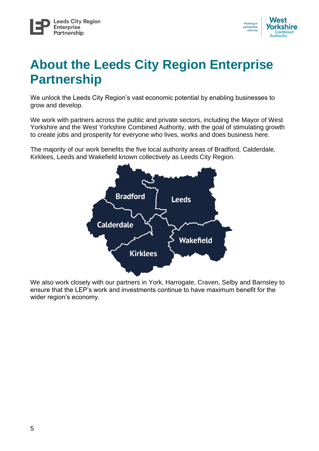

## **About the Leeds City Region Enterprise Partnership**

We unlock the Leeds City Region's vast economic potential by enabling businesses to grow and develop.

We work with partners across the public and private sectors, including the Mayor of West Yorkshire and the West Yorkshire Combined Authority, with the goal of stimulating growth to create jobs and prosperity for everyone who lives, works and does business here.

The majority of our work benefits the five local authority areas of Bradford, Calderdale, Kirklees, Leeds and Wakefield known collectively as Leeds City Region.



We also work closely with our partners in York, Harrogate, Craven, Selby and Barnsley to ensure that the LEP's work and investments continue to have maximum benefit for the wider region's economy.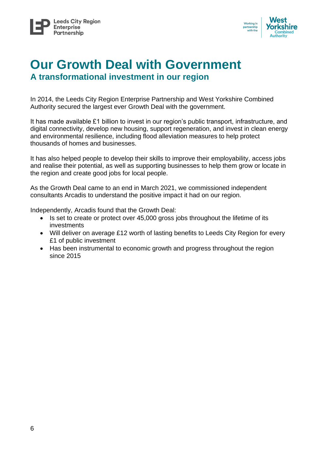

## **Our Growth Deal with Government A transformational investment in our region**

In 2014, the Leeds City Region Enterprise Partnership and West Yorkshire Combined Authority secured the largest ever Growth Deal with the government.

It has made available £1 billion to invest in our region's public transport, infrastructure, and digital connectivity, develop new housing, support regeneration, and invest in clean energy and environmental resilience, including flood alleviation measures to help protect thousands of homes and businesses.

It has also helped people to develop their skills to improve their employability, access jobs and realise their potential, as well as supporting businesses to help them grow or locate in the region and create good jobs for local people.

As the Growth Deal came to an end in March 2021, we commissioned independent consultants Arcadis to understand the positive impact it had on our region.

Independently, Arcadis found that the Growth Deal:

- Is set to create or protect over 45,000 gross jobs throughout the lifetime of its investments
- Will deliver on average £12 worth of lasting benefits to Leeds City Region for every £1 of public investment
- Has been instrumental to economic growth and progress throughout the region since 2015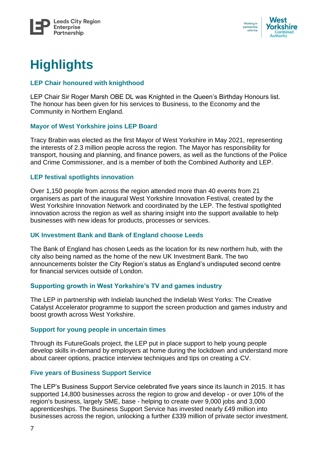



## **Highlights**

#### **LEP Chair honoured with knighthood**

LEP Chair Sir Roger Marsh OBE DL was Knighted in the Queen's Birthday Honours list. The honour has been given for his services to Business, to the Economy and the Community in Northern England.

#### **Mayor of West Yorkshire joins LEP Board**

Tracy Brabin was elected as the first Mayor of West Yorkshire in May 2021, representing the interests of 2.3 million people across the region. The Mayor has responsibility for transport, housing and planning, and finance powers, as well as the functions of the Police and Crime Commissioner, and is a member of both the Combined Authority and LEP.

#### **LEP festival spotlights innovation**

Over 1,150 people from across the region attended more than 40 events from 21 organisers as part of the inaugural West Yorkshire Innovation Festival, created by the West Yorkshire Innovation Network and coordinated by the LEP. The festival spotlighted innovation across the region as well as sharing insight into the support available to help businesses with new ideas for products, processes or services.

#### **UK Investment Bank and Bank of England choose Leeds**

The Bank of England has chosen Leeds as the location for its new northern hub, with the city also being named as the home of the new UK Investment Bank. The two announcements bolster the City Region's status as England's undisputed second centre for financial services outside of London.

### **Supporting growth in West Yorkshire's TV and games industry**

The LEP in partnership with Indielab launched the Indielab West Yorks: The Creative Catalyst Accelerator programme to support the screen production and games industry and boost growth across West Yorkshire.

#### **Support for young people in uncertain times**

Through its FutureGoals project, the LEP put in place support to help young people develop skills in-demand by employers at home during the lockdown and understand more about career options, practice interview techniques and tips on creating a CV.

### **Five years of Business Support Service**

The LEP's Business Support Service celebrated five years since its launch in 2015. It has supported 14,800 businesses across the region to grow and develop - or over 10% of the region's business, largely SME, base - helping to create over 9,000 jobs and 3,000 apprenticeships. The Business Support Service has invested nearly £49 million into businesses across the region, unlocking a further £339 million of private sector investment.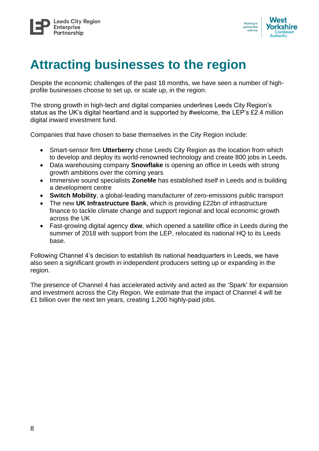



## **Attracting businesses to the region**

Despite the economic challenges of the past 18 months, we have seen a number of highprofile businesses choose to set up, or scale up, in the region.

The strong growth in high-tech and digital companies underlines Leeds City Region's status as the UK's digital heartland and is supported by #welcome, the LEP's £2.4 million digital inward investment fund.

Companies that have chosen to base themselves in the City Region include:

- Smart-sensor firm **Utterberry** chose Leeds City Region as the location from which to develop and deploy its world-renowned technology and create 800 jobs in Leeds.
- Data warehousing company **Snowflake** is opening an office in Leeds with strong growth ambitions over the coming years
- Immersive sound specialists **ZoneMe** has established itself in Leeds and is building a development centre
- **Switch Mobility**, a global-leading manufacturer of zero-emissions public transport
- The new **UK Infrastructure Bank**, which is providing £22bn of infrastructure finance to tackle climate change and support regional and local economic growth across the UK
- Fast-growing digital agency **dxw**, which opened a satellite office in Leeds during the summer of 2018 with support from the LEP, relocated its national HQ to its Leeds base.

Following Channel 4's decision to establish its national headquarters in Leeds, we have also seen a significant growth in independent producers setting up or expanding in the region.

The presence of Channel 4 has accelerated activity and acted as the 'Spark' for expansion and investment across the City Region. We estimate that the impact of Channel 4 will be £1 billion over the next ten years, creating 1,200 highly-paid jobs.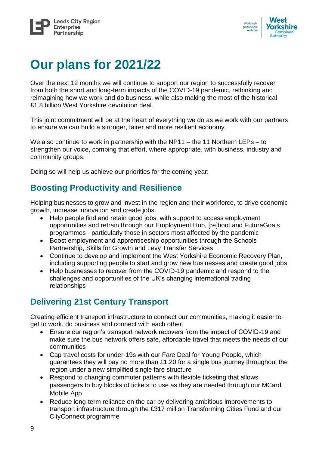



## **Our plans for 2021/22**

Over the next 12 months we will continue to support our region to successfully recover from both the short and long-term impacts of the COVID-19 pandemic, rethinking and reimagining how we work and do business, while also making the most of the historical £1.8 billion West Yorkshire devolution deal.

This joint commitment will be at the heart of everything we do as we work with our partners to ensure we can build a stronger, fairer and more resilient economy.

We also continue to work in partnership with the NP11 – the 11 Northern LEPs – to strengthen our voice, combing that effort, where appropriate, with business, industry and community groups.

Doing so will help us achieve our priorities for the coming year:

### **Boosting Productivity and Resilience**

Helping businesses to grow and invest in the region and their workforce, to drive economic growth, increase innovation and create jobs.

- Help people find and retain good jobs, with support to access employment opportunities and retrain through our Employment Hub, [re]boot and FutureGoals programmes - particularly those in sectors most affected by the pandemic
- Boost employment and apprenticeship opportunities through the Schools Partnership, Skills for Growth and Levy Transfer Services
- Continue to develop and implement the West Yorkshire Economic Recovery Plan, including supporting people to start and grow new businesses and create good jobs
- Help businesses to recover from the COVID-19 pandemic and respond to the challenges and opportunities of the UK's changing international trading relationships

### **Delivering 21st Century Transport**

Creating efficient transport infrastructure to connect our communities, making it easier to get to work, do business and connect with each other.

- Ensure our region's transport network recovers from the impact of COVID-19 and make sure the bus network offers safe, affordable travel that meets the needs of our communities
- Cap travel costs for under-19s with our Fare Deal for Young People, which guarantees they will pay no more than £1.20 for a single bus journey throughout the region under a new simplified single fare structure
- Respond to changing commuter patterns with flexible ticketing that allows passengers to buy blocks of tickets to use as they are needed through our MCard Mobile App
- Reduce long-term reliance on the car by delivering ambitious improvements to transport infrastructure through the £317 million Transforming Cities Fund and our CityConnect programme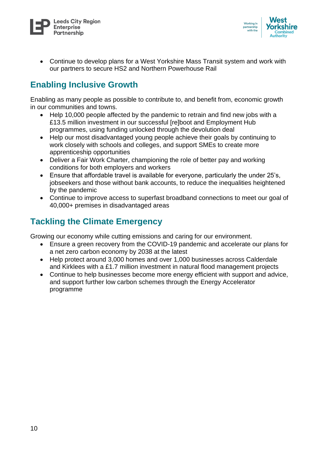



• Continue to develop plans for a West Yorkshire Mass Transit system and work with our partners to secure HS2 and Northern Powerhouse Rail

### **Enabling Inclusive Growth**

Enabling as many people as possible to contribute to, and benefit from, economic growth in our communities and towns.

- Help 10,000 people affected by the pandemic to retrain and find new jobs with a £13.5 million investment in our successful [re]boot and Employment Hub programmes, using funding unlocked through the devolution deal
- Help our most disadvantaged young people achieve their goals by continuing to work closely with schools and colleges, and support SMEs to create more apprenticeship opportunities
- Deliver a Fair Work Charter, championing the role of better pay and working conditions for both employers and workers
- Ensure that affordable travel is available for everyone, particularly the under 25's, jobseekers and those without bank accounts, to reduce the inequalities heightened by the pandemic
- Continue to improve access to superfast broadband connections to meet our goal of 40,000+ premises in disadvantaged areas

### **Tackling the Climate Emergency**

Growing our economy while cutting emissions and caring for our environment.

- Ensure a green recovery from the COVID-19 pandemic and accelerate our plans for a net zero carbon economy by 2038 at the latest
- Help protect around 3,000 homes and over 1,000 businesses across Calderdale and Kirklees with a £1.7 million investment in natural flood management projects
- Continue to help businesses become more energy efficient with support and advice, and support further low carbon schemes through the Energy Accelerator programme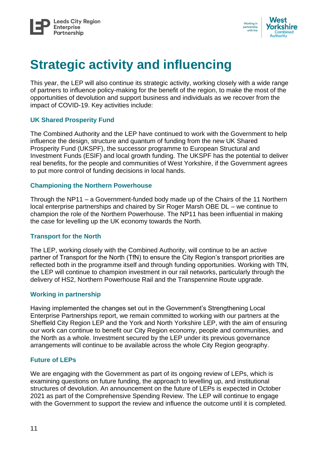



## **Strategic activity and influencing**

This year, the LEP will also continue its strategic activity, working closely with a wide range of partners to influence policy-making for the benefit of the region, to make the most of the opportunities of devolution and support business and individuals as we recover from the impact of COVID-19. Key activities include:

#### **UK Shared Prosperity Fund**

The Combined Authority and the LEP have continued to work with the Government to help influence the design, structure and quantum of funding from the new UK Shared Prosperity Fund (UKSPF), the successor programme to European Structural and Investment Funds (ESIF) and local growth funding. The UKSPF has the potential to deliver real benefits, for the people and communities of West Yorkshire, if the Government agrees to put more control of funding decisions in local hands.

#### **Championing the Northern Powerhouse**

Through the NP11 – a Government-funded body made up of the Chairs of the 11 Northern local enterprise partnerships and chaired by Sir Roger Marsh OBE DL – we continue to champion the role of the Northern Powerhouse. The NP11 has been influential in making the case for levelling up the UK economy towards the North.

#### **Transport for the North**

The LEP, working closely with the Combined Authority, will continue to be an active partner of Transport for the North (TfN) to ensure the City Region's transport priorities are reflected both in the programme itself and through funding opportunities. Working with TfN, the LEP will continue to champion investment in our rail networks, particularly through the delivery of HS2, Northern Powerhouse Rail and the Transpennine Route upgrade.

#### **Working in partnership**

Having implemented the changes set out in the Government's Strengthening Local Enterprise Partnerships report, we remain committed to working with our partners at the Sheffield City Region LEP and the York and North Yorkshire LEP, with the aim of ensuring our work can continue to benefit our City Region economy, people and communities, and the North as a whole. Investment secured by the LEP under its previous governance arrangements will continue to be available across the whole City Region geography.

#### **Future of LEPs**

We are engaging with the Government as part of its ongoing review of LEPs, which is examining questions on future funding, the approach to levelling up, and institutional structures of devolution. An announcement on the future of LEPs is expected in October 2021 as part of the Comprehensive Spending Review. The LEP will continue to engage with the Government to support the review and influence the outcome until it is completed.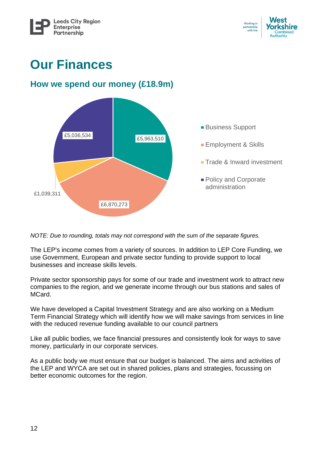

## **Our Finances**

### **How we spend our money (£18.9m)**



*NOTE: Due to rounding, totals may not correspond with the sum of the separate figures.*

The LEP's income comes from a variety of sources. In addition to LEP Core Funding, we use Government, European and private sector funding to provide support to local businesses and increase skills levels.

Private sector sponsorship pays for some of our trade and investment work to attract new companies to the region, and we generate income through our bus stations and sales of MCard.

We have developed a Capital Investment Strategy and are also working on a Medium Term Financial Strategy which will identify how we will make savings from services in line with the reduced revenue funding available to our council partners

Like all public bodies, we face financial pressures and consistently look for ways to save money, particularly in our corporate services.

As a public body we must ensure that our budget is balanced. The aims and activities of the LEP and WYCA are set out in shared policies, plans and strategies, focussing on better economic outcomes for the region.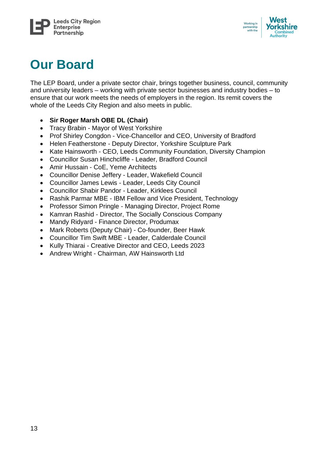



## **Our Board**

The LEP Board, under a private sector chair, brings together business, council, community and university leaders – working with private sector businesses and industry bodies – to ensure that our work meets the needs of employers in the region. Its remit covers the whole of the Leeds City Region and also meets in public.

### • **Sir Roger Marsh OBE DL (Chair)**

- Tracy Brabin Mayor of West Yorkshire
- Prof Shirley Congdon Vice-Chancellor and CEO, University of Bradford
- Helen Featherstone Deputy Director, Yorkshire Sculpture Park
- Kate Hainsworth CEO, Leeds Community Foundation, Diversity Champion
- Councillor Susan Hinchcliffe Leader, Bradford Council
- Amir Hussain CoE, Yeme Architects
- Councillor Denise Jeffery Leader, Wakefield Council
- Councillor James Lewis Leader, Leeds City Council
- Councillor Shabir Pandor Leader, Kirklees Council
- Rashik Parmar MBE IBM Fellow and Vice President, Technology
- Professor Simon Pringle Managing Director, Project Rome
- Kamran Rashid Director, The Socially Conscious Company
- Mandy Ridyard Finance Director, Produmax
- Mark Roberts (Deputy Chair) Co-founder, Beer Hawk
- Councillor Tim Swift MBE Leader, Calderdale Council
- Kully Thiarai Creative Director and CEO, Leeds 2023
- Andrew Wright Chairman, AW Hainsworth Ltd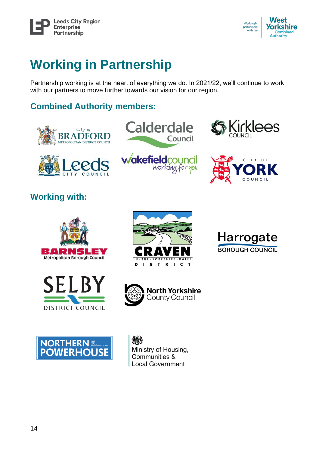



## **Working in Partnership**

Partnership working is at the heart of everything we do. In 2021/22, we'll continue to work with our partners to move further towards our vision for our region.

## **Combined Authority members:**







working for you





## **Working with:**













203 Ministry of Housing, Communities & **Local Government**